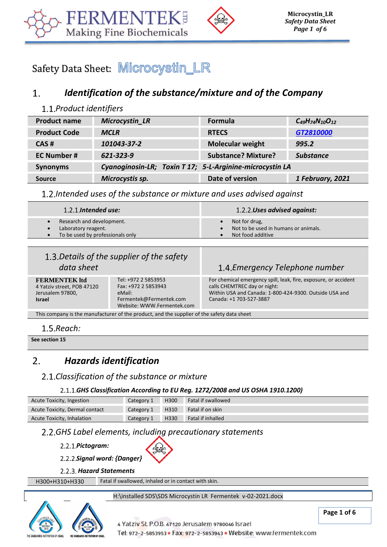



Safety Data Sheet: Microcystin\_LR

#### *Identification of the substance/mixture and of the Company* 1.

# *Product identifiers*

| <b>Product name</b> | <b>Microcystin_LR</b>                                    | <b>Formula</b>             | $C_{49}H_{74}N_{10}O_{12}$ |
|---------------------|----------------------------------------------------------|----------------------------|----------------------------|
| <b>Product Code</b> | <b>MCLR</b>                                              | <b>RTECS</b>               | GT2810000                  |
| CAS#                | 101043-37-2                                              | <b>Molecular weight</b>    | 995.2                      |
| <b>EC Number #</b>  | 621-323-9                                                | <b>Substance? Mixture?</b> | <b>Substance</b>           |
| <b>Synonyms</b>     | Cyanoginosin-LR; Toxin T 17; 5-L-Arginine-microcystin LA |                            |                            |
| <b>Source</b>       | Microcystis sp.                                          | Date of version            | 1 February, 2021           |

*Intended uses of the substance or mixture and uses advised against*

| $1.2.1$ . Intended use:                                                                           | 1.2.2.Uses advised against:                                                |
|---------------------------------------------------------------------------------------------------|----------------------------------------------------------------------------|
| Research and development.<br>Laboratory reagent.<br>To be used by professionals only<br>$\bullet$ | Not for drug,<br>Not to be used in humans or animals.<br>Not food additive |

# *Details of the supplier of the safety*  **data sheet Exercise 2018 Emergency Telephone number Emergency Telephone number**

**FERMENTEK ltd** 4 Yatziv street, POB 47120 Jerusalem 97800, **Israel** 

Tel: +972 2 5853953 Fax: +972 2 5853943 eMail: Fermentek@Fermentek.com Website[: WWW.Fermentek.com](http://www.fermentek.com/)

For chemical emergency spill, leak, fire, exposure, or accident calls CHEMTREC day or night: Within USA and Canada: 1-800-424-9300. Outside USA and Canada: +1 703-527-3887

This company is the manufacturer of the product, and the supplier of the safety data sheet

1.5. Reach:

**See section 15**

#### $\mathcal{L}$ *Hazards identification*

# *Classification of the substance or mixture*

### *GHS Classification According to EU Reg. 1272/2008 and US OSHA 1910.1200)*

| Acute Toxicity, Ingestion      | Category 1 | H300 | Fatal if swallowed       |
|--------------------------------|------------|------|--------------------------|
| Acute Toxicity, Dermal contact | Category 1 | H310 | Fatal if on skin         |
| Acute Toxicity, Inhalation     | Category 1 | H330 | <b>Fatal if inhalled</b> |

# *GHS Label elements, including precautionary statements*

*Pictogram:* 



- *Signal word: {Danger}*
- *Hazard Statements*

H300+H310+H330 Fatal if swallowed, inhaled or in contact with skin.

### H:\installed SDS\SDS Microcystin LR Fermentek v-02-2021.docx

4 Yatziv St. P.O.B. 47120 Jerusalem 9780046 Israel

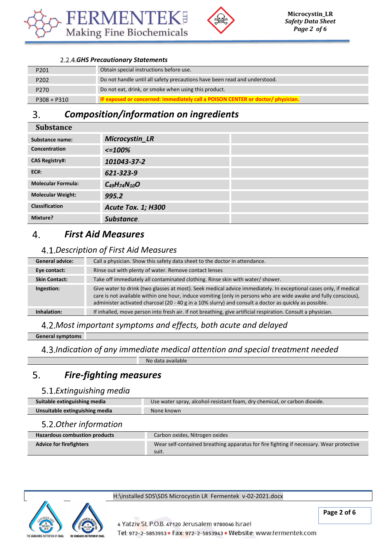



### *GHS Precautionary Statements*

| P201             | Obtain special instructions before use.                                        |
|------------------|--------------------------------------------------------------------------------|
| P <sub>202</sub> | Do not handle until all safety precautions have been read and understood.      |
| P <sub>270</sub> | Do not eat, drink, or smoke when using this product.                           |
| $P308 + P310$    | IF exposed or concerned: immediately call a POISON CENTER or doctor/physician. |

#### *Composition/information on ingredients* 3.

| <b>Substance</b>          |                           |  |
|---------------------------|---------------------------|--|
| Substance name:           | Microcystin_LR            |  |
| Concentration             | $\epsilon = 100\%$        |  |
| <b>CAS Registry#:</b>     | 101043-37-2               |  |
| <b>EC#:</b>               | 621-323-9                 |  |
| <b>Molecular Formula:</b> | $C_{49}H_{74}N_{10}O$     |  |
| <b>Molecular Weight:</b>  | 995.2                     |  |
| <b>Classification</b>     | <b>Acute Tox. 1; H300</b> |  |
| Mixture?                  | Substance.                |  |

#### $\overline{4}$ . *First Aid Measures*

# *Description of First Aid Measures*

| <b>General advice:</b> | Call a physician. Show this safety data sheet to the doctor in attendance.                                                                                                                                                                                                                                                                      |
|------------------------|-------------------------------------------------------------------------------------------------------------------------------------------------------------------------------------------------------------------------------------------------------------------------------------------------------------------------------------------------|
| Eye contact:           | Rinse out with plenty of water. Remove contact lenses                                                                                                                                                                                                                                                                                           |
| <b>Skin Contact:</b>   | Take off immediately all contaminated clothing. Rinse skin with water/shower.                                                                                                                                                                                                                                                                   |
| Ingestion:             | Give water to drink (two glasses at most). Seek medical advice immediately. In exceptional cases only, if medical<br>care is not available within one hour, induce vomiting (only in persons who are wide awake and fully conscious),<br>administer activated charcoal (20 - 40 g in a 10% slurry) and consult a doctor as quickly as possible. |
| Inhalation:            | If inhalled, move person into fresh air. If not breathing, give artificial respiration. Consult a physician.                                                                                                                                                                                                                                    |

# *Most important symptoms and effects, both acute and delayed*

### **General symptoms**

*Indication of any immediate medical attention and special treatment needed*

No data available

#### 5. *Fire-fighting measures*

# *Extinguishing media*

| Use water spray, alcohol-resistant foam, dry chemical, or carbon dioxide.<br>Suitable extinguishing media |                                                                                                  |  |
|-----------------------------------------------------------------------------------------------------------|--------------------------------------------------------------------------------------------------|--|
| Unsuitable extinguishing media                                                                            | None known                                                                                       |  |
| 5.2. Other information                                                                                    |                                                                                                  |  |
| <b>Hazardous combustion products</b>                                                                      | Carbon oxides, Nitrogen oxides                                                                   |  |
| <b>Advice for firefighters</b>                                                                            | Wear self-contained breathing apparatus for fire fighting if necessary. Wear protective<br>suit. |  |



H:\installed SDS\SDS Microcystin LR Fermentek v-02-2021.docx

**Page 2 of 6**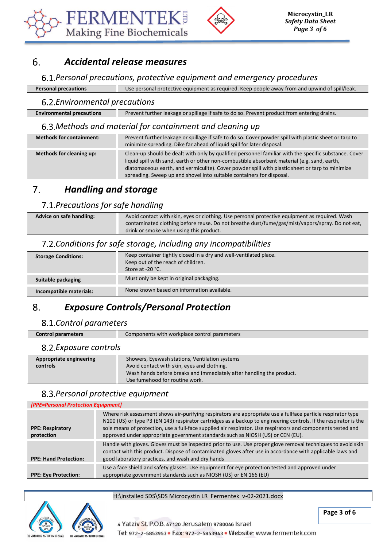



#### *Accidental release measures* 6.

### *Personal precautions, protective equipment and emergency procedures*

**Personal precautions** Use personal protective equipment as required. Keep people away from and upwind of spill/leak.

### *Environmental precautions*

| Prevent further leakage or spillage if safe to do so. Prevent product from entering drains.<br><b>Environmental precautions</b> |  |
|---------------------------------------------------------------------------------------------------------------------------------|--|
|---------------------------------------------------------------------------------------------------------------------------------|--|

### *Methods and material for containment and cleaning up*

| <b>Methods for containment:</b> | Prevent further leakage or spillage if safe to do so. Cover powder spill with plastic sheet or tarp to<br>minimize spreading. Dike far ahead of liquid spill for later disposal.                                                                                                                                                                                                  |
|---------------------------------|-----------------------------------------------------------------------------------------------------------------------------------------------------------------------------------------------------------------------------------------------------------------------------------------------------------------------------------------------------------------------------------|
| Methods for cleaning up:        | Clean-up should be dealt with only by qualified personnel familiar with the specific substance. Cover<br>liquid spill with sand, earth or other non-combustible absorbent material (e.g. sand, earth,<br>diatomaceous earth, and vermiculite). Cover powder spill with plastic sheet or tarp to minimize<br>spreading. Sweep up and shovel into suitable containers for disposal. |

#### $7<sub>1</sub>$ *Handling and storage*

### *Precautions for safe handling*

| Advice on safe handling: | Avoid contact with skin, eyes or clothing. Use personal protective equipment as required. Wash  |
|--------------------------|-------------------------------------------------------------------------------------------------|
|                          | contaminated clothing before reuse. Do not breathe dust/fume/gas/mist/vapors/spray. Do not eat, |
|                          | drink or smoke when using this product.                                                         |

# *Conditions for safe storage, including any incompatibilities*

| <b>Storage Conditions:</b> | Keep container tightly closed in a dry and well-ventilated place.<br>Keep out of the reach of children.<br>Store at -20 °C. |
|----------------------------|-----------------------------------------------------------------------------------------------------------------------------|
| Suitable packaging         | Must only be kept in original packaging.                                                                                    |
| Incompatible materials:    | None known based on information available.                                                                                  |

#### 8. *Exposure Controls/Personal Protection*

### *Control parameters*

| Control parameters | Components with workplace control parameters |
|--------------------|----------------------------------------------|
|--------------------|----------------------------------------------|

### *Exposure controls*

| Appropriate engineering | Showers, Eyewash stations, Ventilation systems                       |
|-------------------------|----------------------------------------------------------------------|
| controls                | Avoid contact with skin, eyes and clothing.                          |
|                         | Wash hands before breaks and immediately after handling the product. |
|                         | Use fumehood for routine work.                                       |

# *Personal protective equipment*

| [PPE=Personal Protection Equipment]   |                                                                                                                                                                                                                                                                                                                                                                                                                                       |
|---------------------------------------|---------------------------------------------------------------------------------------------------------------------------------------------------------------------------------------------------------------------------------------------------------------------------------------------------------------------------------------------------------------------------------------------------------------------------------------|
| <b>PPE: Respiratory</b><br>protection | Where risk assessment shows air-purifying respirators are appropriate use a fullface particle respirator type<br>N100 (US) or type P3 (EN 143) respirator cartridges as a backup to engineering controls. If the respirator is the<br>sole means of protection, use a full-face supplied air respirator. Use respirators and components tested and<br>approved under appropriate government standards such as NIOSH (US) or CEN (EU). |
| <b>PPE: Hand Protection:</b>          | Handle with gloves. Gloves must be inspected prior to use. Use proper glove removal techniques to avoid skin<br>contact with this product. Dispose of contaminated gloves after use in accordance with applicable laws and<br>good laboratory practices, and wash and dry hands                                                                                                                                                       |
| <b>PPE: Eye Protection:</b>           | Use a face shield and safety glasses. Use equipment for eye protection tested and approved under<br>appropriate government standards such as NIOSH (US) or EN 166 (EU)                                                                                                                                                                                                                                                                |



### H:\installed SDS\SDS Microcystin LR Fermentek v-02-2021.docx



**Page 3 of 6**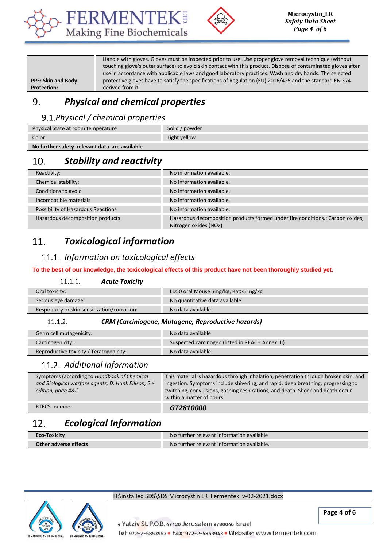



**PPE: Skin and Body Protection:** 

Handle with gloves. Gloves must be inspected prior to use. Use proper glove removal technique (without touching glove's outer surface) to avoid skin contact with this product. Dispose of contaminated gloves after use in accordance with applicable laws and good laboratory practices. Wash and dry hands. The selected protective gloves have to satisfy the specifications of Regulation (EU) 2016/425 and the standard EN 374 derived from it.

#### 9. *Physical and chemical properties*

# *Physical / chemical properties*

| Physical State at room temperature            | Solid / powder |
|-----------------------------------------------|----------------|
| Color                                         | Light yellow   |
| No further safety relevant data are available |                |

#### 10. *Stability and reactivity*

| Reactivity:                        | No information available.                                                                               |
|------------------------------------|---------------------------------------------------------------------------------------------------------|
| Chemical stability:                | No information available.                                                                               |
| Conditions to avoid                | No information available.                                                                               |
| Incompatible materials             | No information available.                                                                               |
| Possibility of Hazardous Reactions | No information available.                                                                               |
| Hazardous decomposition products   | Hazardous decomposition products formed under fire conditions.: Carbon oxides,<br>Nitrogen oxides (NOx) |

#### *Toxicological information* 11.

# *Information on toxicological effects*

### **To the best of our knowledge, the toxicological effects of this product have not been thoroughly studied yet.**

| 11.1.1<br><b>Acute Toxicity</b>              |                                     |
|----------------------------------------------|-------------------------------------|
| Oral toxicity:                               | LD50 oral Mouse 5mg/kg, Rat>5 mg/kg |
| Serious eye damage                           | No quantitative data available      |
| Respiratory or skin sensitization/corrosion: | No data available                   |
|                                              |                                     |

#### $11.1.2.$ *CRM (Carciniogene, Mutagene, Reproductive hazards)*

| Germ cell mutagenicity:                 | No data available                                |
|-----------------------------------------|--------------------------------------------------|
| Carcinogenicity:                        | Suspected carcinogen (listed in REACH Annex III) |
| Reproductive toxicity / Teratogenicity: | No data available                                |

### *Additional information*

| Symptoms (according to Handbook of Chemical<br>and Biological warfare agents, D. Hank Ellison, 2nd<br>edition, page 481) | This material is hazardous through inhalation, penetration through broken skin, and<br>ingestion. Symptoms include shivering, and rapid, deep breathing, progressing to<br>twitching, convulsions, gasping respirations, and death. Shock and death occur<br>within a matter of hours. |
|--------------------------------------------------------------------------------------------------------------------------|----------------------------------------------------------------------------------------------------------------------------------------------------------------------------------------------------------------------------------------------------------------------------------------|
| RTECS number                                                                                                             | GT2810000                                                                                                                                                                                                                                                                              |

#### 12. *Ecological Information*

| <b>Eco-Toxicity</b>   | No further relevant information available  |
|-----------------------|--------------------------------------------|
| Other adverse effects | No further relevant information available. |



#### H:\installed SDS\SDS Microcystin LR Fermentek v-02-2021.docx

4 Yatziv St. P.O.B. 47120 Jerusalem 9780046 Israel Tel: 972-2-5853953 · Fax: 972-2-5853943 · Website: www.fermentek.com

**Page 4 of 6**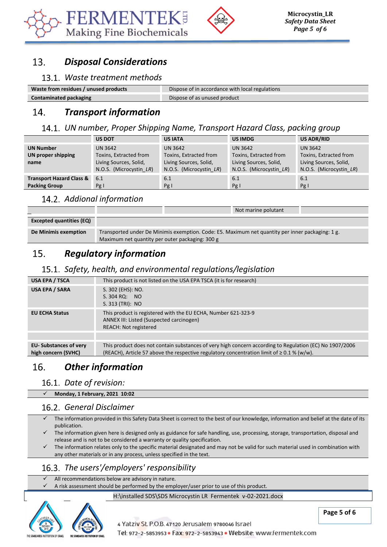



#### *Disposal Considerations* 13.

# *Waste treatment methods*

| Waste from residues / unused products | Dispose of in accordance with local regulations |
|---------------------------------------|-------------------------------------------------|
| <b>Contaminated packaging</b>         | Dispose of as unused product                    |

#### *Transport information*  $14.$

### *UN number, Proper Shipping Name, Transport Hazard Class, packing group*

|                                                             | <b>US DOT</b>                                                                          | <b>US IATA</b>                                                                                | <b>US IMDG</b>                                                                                | US ADR/RID                                                                                    |
|-------------------------------------------------------------|----------------------------------------------------------------------------------------|-----------------------------------------------------------------------------------------------|-----------------------------------------------------------------------------------------------|-----------------------------------------------------------------------------------------------|
| <b>UN Number</b><br>UN proper shipping<br>name              | UN 3642<br>Toxins, Extracted from<br>Living Sources, Solid,<br>N.O.S. (Microcystin LR) | <b>UN 3642</b><br>Toxins, Extracted from<br>Living Sources, Solid,<br>N.O.S. (Microcystin LR) | <b>UN 3642</b><br>Toxins, Extracted from<br>Living Sources, Solid,<br>N.O.S. (Microcystin LR) | <b>UN 3642</b><br>Toxins, Extracted from<br>Living Sources, Solid,<br>N.O.S. (Microcystin LR) |
| <b>Transport Hazard Class &amp;</b><br><b>Packing Group</b> | 6.1<br>Pg I                                                                            | 6.1<br>Pg I                                                                                   | 6.1<br>Pg I                                                                                   | 6.1<br>Pg I                                                                                   |

# *Addional information*

|                                 |                                                                                                  |  | Not marine polutant |  |
|---------------------------------|--------------------------------------------------------------------------------------------------|--|---------------------|--|
| <b>Excepted quantities (EQ)</b> |                                                                                                  |  |                     |  |
|                                 |                                                                                                  |  |                     |  |
| De Minimis exemption            | Transported under De Minimis exemption. Code: E5. Maximum net quantity per inner packaging: 1 g. |  |                     |  |
|                                 | Maximum net quantity per outer packaging: 300 g                                                  |  |                     |  |

#### $15.$ *Regulatory information*

# *Safety, health, and environmental regulations/legislation*

| <b>USA EPA / TSCA</b>         | This product is not listed on the USA EPA TSCA (it is for research)                                                                       |
|-------------------------------|-------------------------------------------------------------------------------------------------------------------------------------------|
| USA EPA / SARA                | S. 302 (EHS): NO.<br>S. 304 RQ: NO<br>S. 313 (TRI): NO                                                                                    |
| <b>EU ECHA Status</b>         | This product is registered with the EU ECHA, Number 621-323-9<br>ANNEX III: Listed (Suspected carcinogen)<br><b>REACH: Not registered</b> |
| <b>EU- Substances of very</b> | This product does not contain substances of very high concern according to Regulation (EC) No 1907/2006                                   |
| high concern (SVHC)           | (REACH), Article 57 above the respective regulatory concentration limit of $\geq 0.1$ % (w/w).                                            |

#### 16. *Other information*

### 16.1. Date of revision:

✓ **Monday, 1 February, 2021 10:02**

### *General Disclaimer*

- ✓ The information provided in this Safety Data Sheet is correct to the best of our knowledge, information and belief at the date of its publication.
- The information given here is designed only as guidance for safe handling, use, processing, storage, transportation, disposal and release and is not to be considered a warranty or quality specification.
- The information relates only to the specific material designated and may not be valid for such material used in combination with any other materials or in any process, unless specified in the text.

### *The users'/employers' responsibility*

#### $\checkmark$  All recommendations below are advisory in nature.

✓ A risk assessment should be performed by the employer/user prior to use of this product.

H:\installed SDS\SDS Microcystin LR Fermentek v-02-2021.docx



**Page 5 of 6**